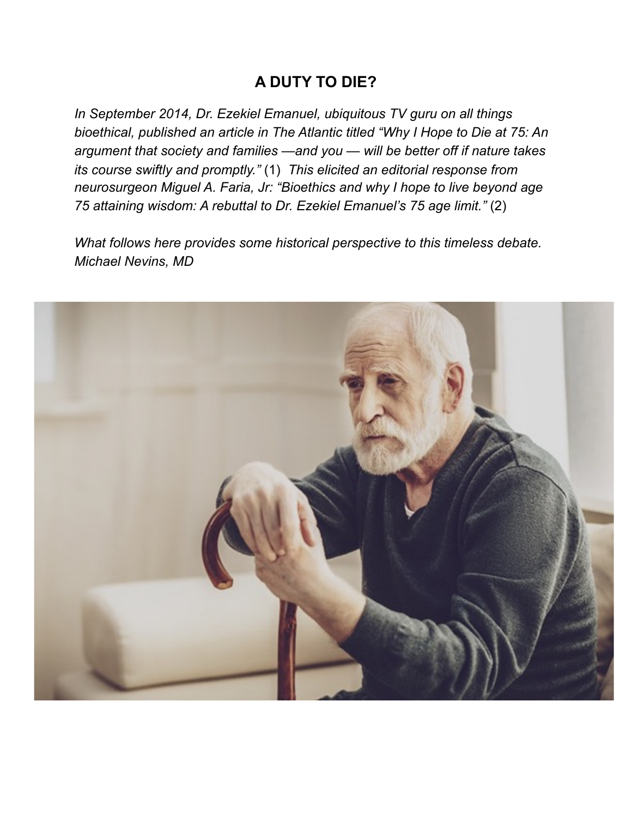## **A DUTY TO DIE?**

*In September 2014, Dr. Ezekiel Emanuel, ubiquitous TV guru on all things bioethical, published an article in The Atlantic titled "Why I Hope to Die at 75: An argument that society and families —and you — will be better off if nature takes its course swiftly and promptly."* (1) *This elicited an editorial response from neurosurgeon Miguel A. Faria, Jr: "Bioethics and why I hope to live beyond age 75 attaining wisdom: A rebuttal to Dr. Ezekiel Emanuel's 75 age limit."* (2)

*What follows here provides some historical perspective to this timeless debate. Michael Nevins, MD* 

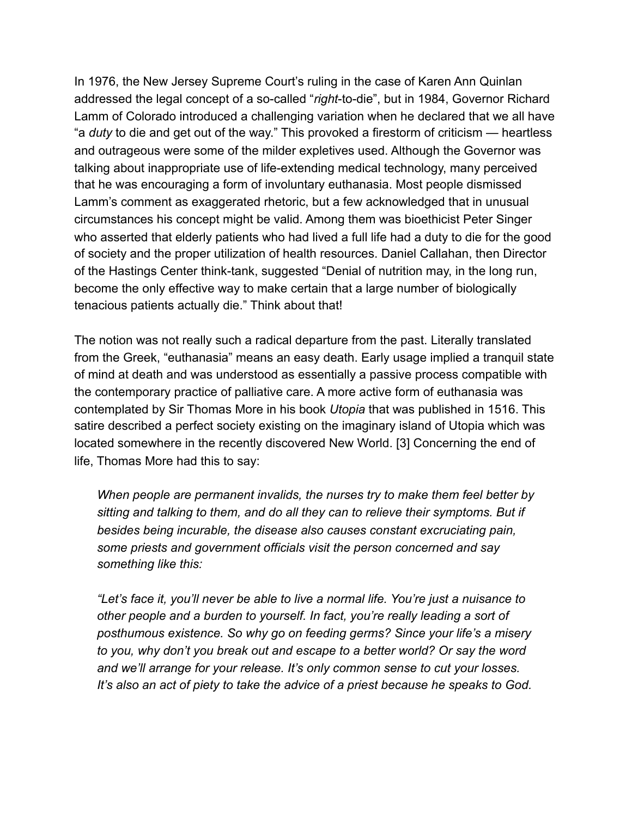In 1976, the New Jersey Supreme Court's ruling in the case of Karen Ann Quinlan addressed the legal concept of a so-called "*right*-to-die", but in 1984, Governor Richard Lamm of Colorado introduced a challenging variation when he declared that we all have "a *duty* to die and get out of the way." This provoked a firestorm of criticism — heartless and outrageous were some of the milder expletives used. Although the Governor was talking about inappropriate use of life-extending medical technology, many perceived that he was encouraging a form of involuntary euthanasia. Most people dismissed Lamm's comment as exaggerated rhetoric, but a few acknowledged that in unusual circumstances his concept might be valid. Among them was bioethicist Peter Singer who asserted that elderly patients who had lived a full life had a duty to die for the good of society and the proper utilization of health resources. Daniel Callahan, then Director of the Hastings Center think-tank, suggested "Denial of nutrition may, in the long run, become the only effective way to make certain that a large number of biologically tenacious patients actually die." Think about that!

The notion was not really such a radical departure from the past. Literally translated from the Greek, "euthanasia" means an easy death. Early usage implied a tranquil state of mind at death and was understood as essentially a passive process compatible with the contemporary practice of palliative care. A more active form of euthanasia was contemplated by Sir Thomas More in his book *Utopia* that was published in 1516. This satire described a perfect society existing on the imaginary island of Utopia which was located somewhere in the recently discovered New World. [3] Concerning the end of life, Thomas More had this to say:

*When people are permanent invalids, the nurses try to make them feel better by sitting and talking to them, and do all they can to relieve their symptoms. But if besides being incurable, the disease also causes constant excruciating pain, some priests and government officials visit the person concerned and say something like this:* 

*"Let's face it, you'll never be able to live a normal life. You're just a nuisance to other people and a burden to yourself. In fact, you're really leading a sort of posthumous existence. So why go on feeding germs? Since your life's a misery to you, why don't you break out and escape to a better world? Or say the word and we'll arrange for your release. It's only common sense to cut your losses. It's also an act of piety to take the advice of a priest because he speaks to God.*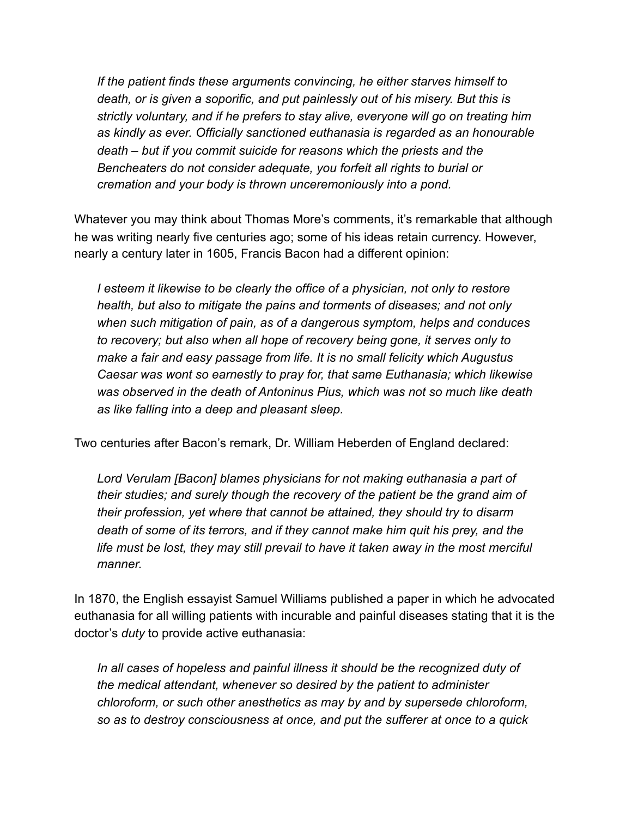*If the patient finds these arguments convincing, he either starves himself to death, or is given a soporific, and put painlessly out of his misery. But this is strictly voluntary, and if he prefers to stay alive, everyone will go on treating him as kindly as ever. Officially sanctioned euthanasia is regarded as an honourable death – but if you commit suicide for reasons which the priests and the Bencheaters do not consider adequate, you forfeit all rights to burial or cremation and your body is thrown unceremoniously into a pond.* 

Whatever you may think about Thomas More's comments, it's remarkable that although he was writing nearly five centuries ago; some of his ideas retain currency. However, nearly a century later in 1605, Francis Bacon had a different opinion:

*I esteem it likewise to be clearly the office of a physician, not only to restore health, but also to mitigate the pains and torments of diseases; and not only when such mitigation of pain, as of a dangerous symptom, helps and conduces to recovery; but also when all hope of recovery being gone, it serves only to make a fair and easy passage from life. It is no small felicity which Augustus Caesar was wont so earnestly to pray for, that same Euthanasia; which likewise was observed in the death of Antoninus Pius, which was not so much like death as like falling into a deep and pleasant sleep.* 

Two centuries after Bacon's remark, Dr. William Heberden of England declared:

*Lord Verulam [Bacon] blames physicians for not making euthanasia a part of their studies; and surely though the recovery of the patient be the grand aim of their profession, yet where that cannot be attained, they should try to disarm death of some of its terrors, and if they cannot make him quit his prey, and the life must be lost, they may still prevail to have it taken away in the most merciful manner.* 

In 1870, the English essayist Samuel Williams published a paper in which he advocated euthanasia for all willing patients with incurable and painful diseases stating that it is the doctor's *duty* to provide active euthanasia:

*In all cases of hopeless and painful illness it should be the recognized duty of the medical attendant, whenever so desired by the patient to administer chloroform, or such other anesthetics as may by and by supersede chloroform, so as to destroy consciousness at once, and put the sufferer at once to a quick*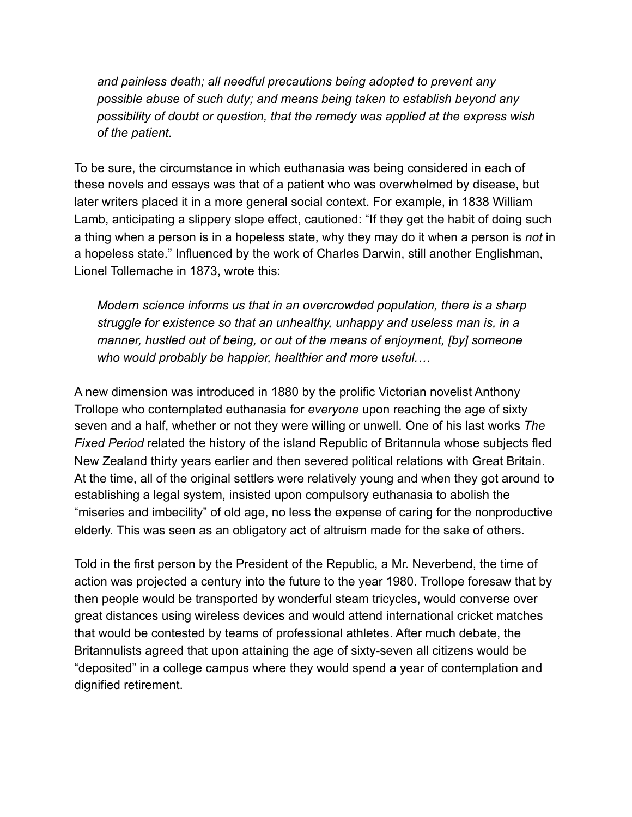*and painless death; all needful precautions being adopted to prevent any possible abuse of such duty; and means being taken to establish beyond any possibility of doubt or question, that the remedy was applied at the express wish of the patient.* 

To be sure, the circumstance in which euthanasia was being considered in each of these novels and essays was that of a patient who was overwhelmed by disease, but later writers placed it in a more general social context. For example, in 1838 William Lamb, anticipating a slippery slope effect, cautioned: "If they get the habit of doing such a thing when a person is in a hopeless state, why they may do it when a person is *not* in a hopeless state." Influenced by the work of Charles Darwin, still another Englishman, Lionel Tollemache in 1873, wrote this:

*Modern science informs us that in an overcrowded population, there is a sharp struggle for existence so that an unhealthy, unhappy and useless man is, in a manner, hustled out of being, or out of the means of enjoyment, [by] someone who would probably be happier, healthier and more useful.…*

A new dimension was introduced in 1880 by the prolific Victorian novelist Anthony Trollope who contemplated euthanasia for *everyone* upon reaching the age of sixty seven and a half, whether or not they were willing or unwell. One of his last works *The Fixed Period* related the history of the island Republic of Britannula whose subjects fled New Zealand thirty years earlier and then severed political relations with Great Britain. At the time, all of the original settlers were relatively young and when they got around to establishing a legal system, insisted upon compulsory euthanasia to abolish the "miseries and imbecility" of old age, no less the expense of caring for the nonproductive elderly. This was seen as an obligatory act of altruism made for the sake of others.

Told in the first person by the President of the Republic, a Mr. Neverbend, the time of action was projected a century into the future to the year 1980. Trollope foresaw that by then people would be transported by wonderful steam tricycles, would converse over great distances using wireless devices and would attend international cricket matches that would be contested by teams of professional athletes. After much debate, the Britannulists agreed that upon attaining the age of sixty-seven all citizens would be "deposited" in a college campus where they would spend a year of contemplation and dignified retirement.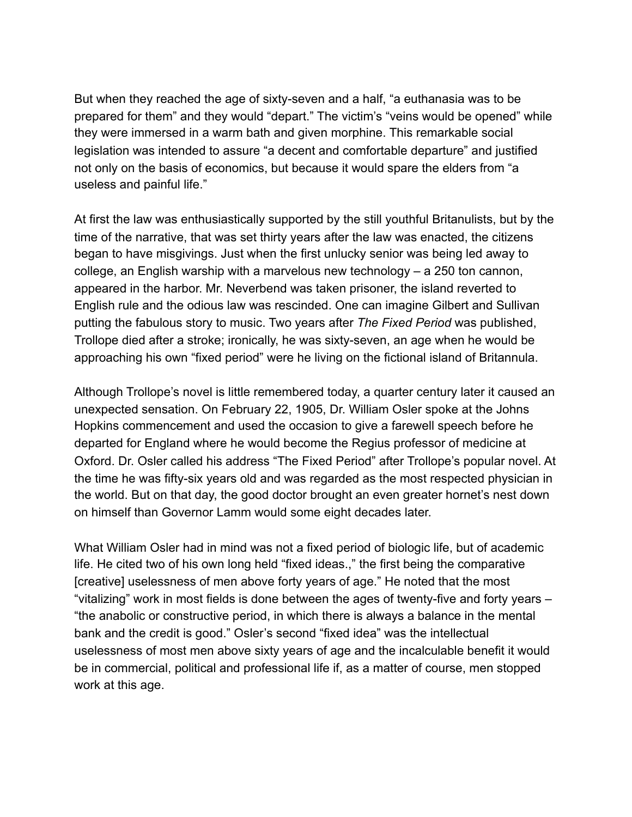But when they reached the age of sixty-seven and a half, "a euthanasia was to be prepared for them" and they would "depart." The victim's "veins would be opened" while they were immersed in a warm bath and given morphine. This remarkable social legislation was intended to assure "a decent and comfortable departure" and justified not only on the basis of economics, but because it would spare the elders from "a useless and painful life."

At first the law was enthusiastically supported by the still youthful Britanulists, but by the time of the narrative, that was set thirty years after the law was enacted, the citizens began to have misgivings. Just when the first unlucky senior was being led away to college, an English warship with a marvelous new technology – a 250 ton cannon, appeared in the harbor. Mr. Neverbend was taken prisoner, the island reverted to English rule and the odious law was rescinded. One can imagine Gilbert and Sullivan putting the fabulous story to music. Two years after *The Fixed Period* was published, Trollope died after a stroke; ironically, he was sixty-seven, an age when he would be approaching his own "fixed period" were he living on the fictional island of Britannula.

Although Trollope's novel is little remembered today, a quarter century later it caused an unexpected sensation. On February 22, 1905, Dr. William Osler spoke at the Johns Hopkins commencement and used the occasion to give a farewell speech before he departed for England where he would become the Regius professor of medicine at Oxford. Dr. Osler called his address "The Fixed Period" after Trollope's popular novel. At the time he was fifty-six years old and was regarded as the most respected physician in the world. But on that day, the good doctor brought an even greater hornet's nest down on himself than Governor Lamm would some eight decades later.

What William Osler had in mind was not a fixed period of biologic life, but of academic life. He cited two of his own long held "fixed ideas.," the first being the comparative [creative] uselessness of men above forty years of age." He noted that the most "vitalizing" work in most fields is done between the ages of twenty-five and forty years – "the anabolic or constructive period, in which there is always a balance in the mental bank and the credit is good." Osler's second "fixed idea" was the intellectual uselessness of most men above sixty years of age and the incalculable benefit it would be in commercial, political and professional life if, as a matter of course, men stopped work at this age.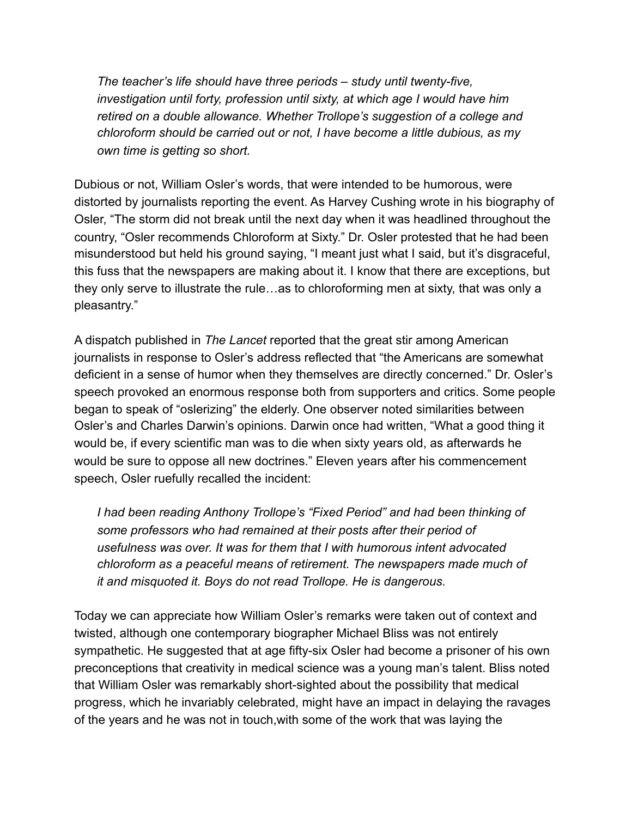*The teacher's life should have three periods – study until twenty-five, investigation until forty, profession until sixty, at which age I would have him retired on a double allowance. Whether Trollope's suggestion of a college and chloroform should be carried out or not, I have become a little dubious, as my own time is getting so short.* 

Dubious or not, William Osler's words, that were intended to be humorous, were distorted by journalists reporting the event. As Harvey Cushing wrote in his biography of Osler, "The storm did not break until the next day when it was headlined throughout the country, "Osler recommends Chloroform at Sixty." Dr. Osler protested that he had been misunderstood but held his ground saying, "I meant just what I said, but it's disgraceful, this fuss that the newspapers are making about it. I know that there are exceptions, but they only serve to illustrate the rule…as to chloroforming men at sixty, that was only a pleasantry."

A dispatch published in *The Lancet* reported that the great stir among American journalists in response to Osler's address reflected that "the Americans are somewhat deficient in a sense of humor when they themselves are directly concerned." Dr. Osler's speech provoked an enormous response both from supporters and critics. Some people began to speak of "oslerizing" the elderly. One observer noted similarities between Osler's and Charles Darwin's opinions. Darwin once had written, "What a good thing it would be, if every scientific man was to die when sixty years old, as afterwards he would be sure to oppose all new doctrines." Eleven years after his commencement speech, Osler ruefully recalled the incident:

*I had been reading Anthony Trollope's "Fixed Period" and had been thinking of some professors who had remained at their posts after their period of usefulness was over. It was for them that I with humorous intent advocated chloroform as a peaceful means of retirement. The newspapers made much of it and misquoted it. Boys do not read Trollope. He is dangerous.*

Today we can appreciate how William Osler's remarks were taken out of context and twisted, although one contemporary biographer Michael Bliss was not entirely sympathetic. He suggested that at age fifty-six Osler had become a prisoner of his own preconceptions that creativity in medical science was a young man's talent. Bliss noted that William Osler was remarkably short-sighted about the possibility that medical progress, which he invariably celebrated, might have an impact in delaying the ravages of the years and he was not in touch,with some of the work that was laying the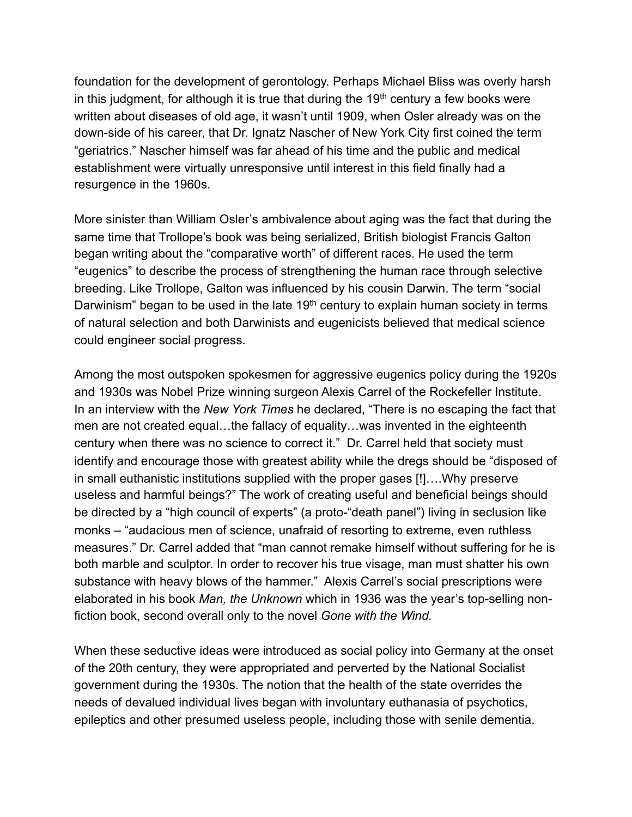foundation for the development of gerontology. Perhaps Michael Bliss was overly harsh in this judgment, for although it is true that during the  $19<sup>th</sup>$  century a few books were written about diseases of old age, it wasn't until 1909, when Osler already was on the down-side of his career, that Dr. Ignatz Nascher of New York City first coined the term "geriatrics." Nascher himself was far ahead of his time and the public and medical establishment were virtually unresponsive until interest in this field finally had a resurgence in the 1960s.

More sinister than William Osler's ambivalence about aging was the fact that during the same time that Trollope's book was being serialized, British biologist Francis Galton began writing about the "comparative worth" of different races. He used the term "eugenics" to describe the process of strengthening the human race through selective breeding. Like Trollope, Galton was influenced by his cousin Darwin. The term "social Darwinism" began to be used in the late 19<sup>th</sup> century to explain human society in terms of natural selection and both Darwinists and eugenicists believed that medical science could engineer social progress.

Among the most outspoken spokesmen for aggressive eugenics policy during the 1920s and 1930s was Nobel Prize winning surgeon Alexis Carrel of the Rockefeller Institute. In an interview with the *New York Times* he declared, "There is no escaping the fact that men are not created equal…the fallacy of equality…was invented in the eighteenth century when there was no science to correct it." Dr. Carrel held that society must identify and encourage those with greatest ability while the dregs should be "disposed of in small euthanistic institutions supplied with the proper gases [!]….Why preserve useless and harmful beings?" The work of creating useful and beneficial beings should be directed by a "high council of experts" (a proto-"death panel") living in seclusion like monks – "audacious men of science, unafraid of resorting to extreme, even ruthless measures." Dr. Carrel added that "man cannot remake himself without suffering for he is both marble and sculptor. In order to recover his true visage, man must shatter his own substance with heavy blows of the hammer." Alexis Carrel's social prescriptions were elaborated in his book *Man, the Unknown* which in 1936 was the year's top-selling nonfiction book, second overall only to the novel *Gone with the Wind.* 

When these seductive ideas were introduced as social policy into Germany at the onset of the 20th century, they were appropriated and perverted by the National Socialist government during the 1930s. The notion that the health of the state overrides the needs of devalued individual lives began with involuntary euthanasia of psychotics, epileptics and other presumed useless people, including those with senile dementia.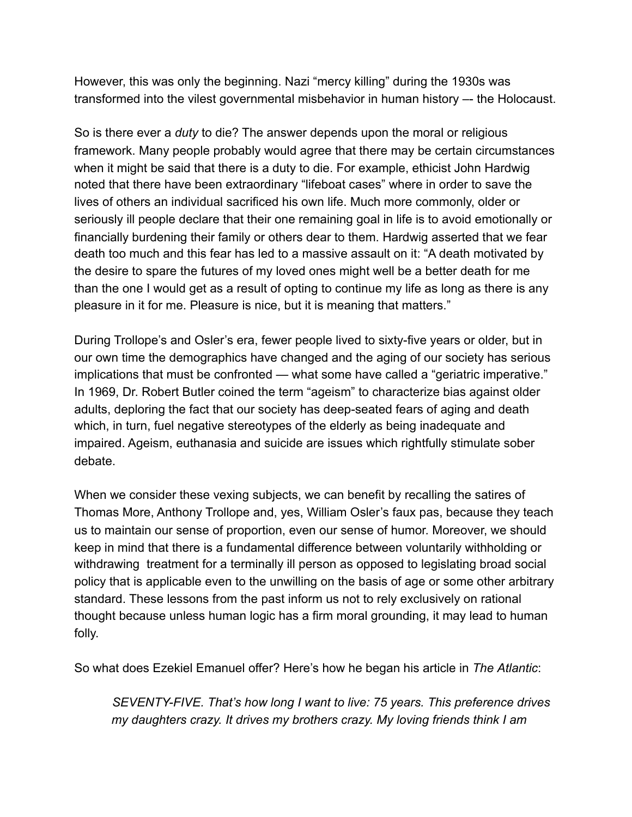However, this was only the beginning. Nazi "mercy killing" during the 1930s was transformed into the vilest governmental misbehavior in human history –- the Holocaust.

So is there ever a *duty* to die? The answer depends upon the moral or religious framework. Many people probably would agree that there may be certain circumstances when it might be said that there is a duty to die. For example, ethicist John Hardwig noted that there have been extraordinary "lifeboat cases" where in order to save the lives of others an individual sacrificed his own life. Much more commonly, older or seriously ill people declare that their one remaining goal in life is to avoid emotionally or financially burdening their family or others dear to them. Hardwig asserted that we fear death too much and this fear has led to a massive assault on it: "A death motivated by the desire to spare the futures of my loved ones might well be a better death for me than the one I would get as a result of opting to continue my life as long as there is any pleasure in it for me. Pleasure is nice, but it is meaning that matters."

During Trollope's and Osler's era, fewer people lived to sixty-five years or older, but in our own time the demographics have changed and the aging of our society has serious implications that must be confronted — what some have called a "geriatric imperative." In 1969, Dr. Robert Butler coined the term "ageism" to characterize bias against older adults, deploring the fact that our society has deep-seated fears of aging and death which, in turn, fuel negative stereotypes of the elderly as being inadequate and impaired. Ageism, euthanasia and suicide are issues which rightfully stimulate sober debate.

When we consider these vexing subjects, we can benefit by recalling the satires of Thomas More, Anthony Trollope and, yes, William Osler's faux pas, because they teach us to maintain our sense of proportion, even our sense of humor. Moreover, we should keep in mind that there is a fundamental difference between voluntarily withholding or withdrawing treatment for a terminally ill person as opposed to legislating broad social policy that is applicable even to the unwilling on the basis of age or some other arbitrary standard. These lessons from the past inform us not to rely exclusively on rational thought because unless human logic has a firm moral grounding, it may lead to human folly.

So what does Ezekiel Emanuel offer? Here's how he began his article in *The Atlantic*:

 *SEVENTY-FIVE. That's how long I want to live: 75 years. This preference drives my daughters crazy. It drives my brothers crazy. My loving friends think I am*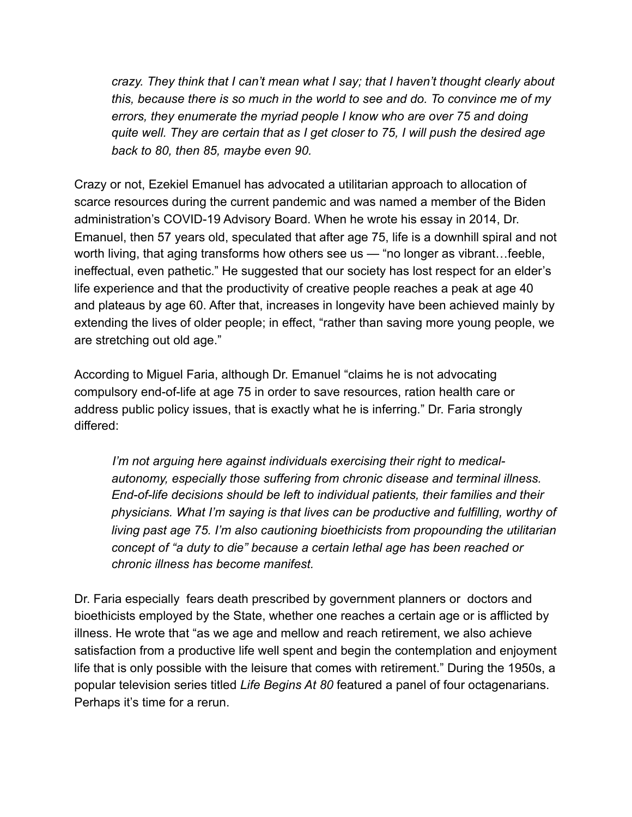*crazy. They think that I can't mean what I say; that I haven't thought clearly about this, because there is so much in the world to see and do. To convince me of my errors, they enumerate the myriad people I know who are over 75 and doing quite well. They are certain that as I get closer to 75, I will push the desired age back to 80, then 85, maybe even 90.*

Crazy or not, Ezekiel Emanuel has advocated a utilitarian approach to allocation of scarce resources during the current pandemic and was named a member of the Biden administration's COVID-19 Advisory Board. When he wrote his essay in 2014, Dr. Emanuel, then 57 years old, speculated that after age 75, life is a downhill spiral and not worth living, that aging transforms how others see us — "no longer as vibrant…feeble, ineffectual, even pathetic." He suggested that our society has lost respect for an elder's life experience and that the productivity of creative people reaches a peak at age 40 and plateaus by age 60. After that, increases in longevity have been achieved mainly by extending the lives of older people; in effect, "rather than saving more young people, we are stretching out old age."

According to Miguel Faria, although Dr. Emanuel "claims he is not advocating compulsory end-of-life at age 75 in order to save resources, ration health care or address public policy issues, that is exactly what he is inferring." Dr. Faria strongly differed:

 *I'm not arguing here against individuals exercising their right to medicalautonomy, especially those suffering from chronic disease and terminal illness. End-of-life decisions should be left to individual patients, their families and their physicians. What I'm saying is that lives can be productive and fulfilling, worthy of living past age 75. I'm also cautioning bioethicists from propounding the utilitarian concept of "a duty to die" because a certain lethal age has been reached or chronic illness has become manifest.* 

Dr. Faria especially fears death prescribed by government planners or doctors and bioethicists employed by the State, whether one reaches a certain age or is afflicted by illness. He wrote that "as we age and mellow and reach retirement, we also achieve satisfaction from a productive life well spent and begin the contemplation and enjoyment life that is only possible with the leisure that comes with retirement." During the 1950s, a popular television series titled *Life Begins At 80* featured a panel of four octagenarians. Perhaps it's time for a rerun.